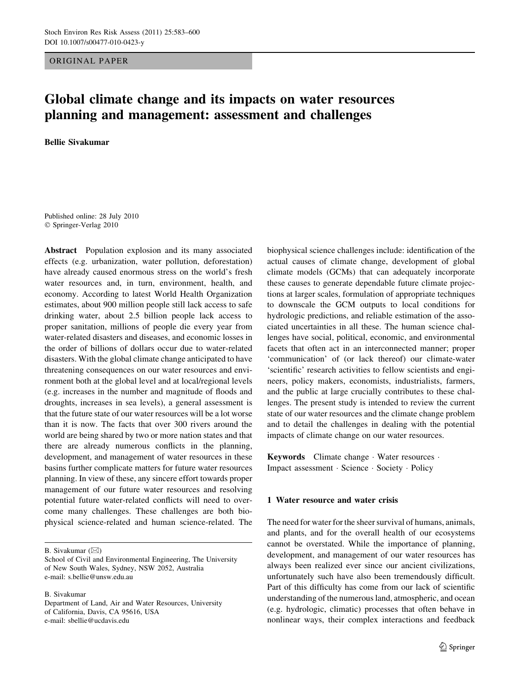ORIGINAL PAPER

# Global climate change and its impacts on water resources planning and management: assessment and challenges

Bellie Sivakumar

Published online: 28 July 2010 © Springer-Verlag 2010

Abstract Population explosion and its many associated effects (e.g. urbanization, water pollution, deforestation) have already caused enormous stress on the world's fresh water resources and, in turn, environment, health, and economy. According to latest World Health Organization estimates, about 900 million people still lack access to safe drinking water, about 2.5 billion people lack access to proper sanitation, millions of people die every year from water-related disasters and diseases, and economic losses in the order of billions of dollars occur due to water-related disasters. With the global climate change anticipated to have threatening consequences on our water resources and environment both at the global level and at local/regional levels (e.g. increases in the number and magnitude of floods and droughts, increases in sea levels), a general assessment is that the future state of our water resources will be a lot worse than it is now. The facts that over 300 rivers around the world are being shared by two or more nation states and that there are already numerous conflicts in the planning, development, and management of water resources in these basins further complicate matters for future water resources planning. In view of these, any sincere effort towards proper management of our future water resources and resolving potential future water-related conflicts will need to overcome many challenges. These challenges are both biophysical science-related and human science-related. The

B. Sivakumar  $(\boxtimes)$ 

B. Sivakumar

biophysical science challenges include: identification of the actual causes of climate change, development of global climate models (GCMs) that can adequately incorporate these causes to generate dependable future climate projections at larger scales, formulation of appropriate techniques to downscale the GCM outputs to local conditions for hydrologic predictions, and reliable estimation of the associated uncertainties in all these. The human science challenges have social, political, economic, and environmental facets that often act in an interconnected manner; proper 'communication' of (or lack thereof) our climate-water 'scientific' research activities to fellow scientists and engineers, policy makers, economists, industrialists, farmers, and the public at large crucially contributes to these challenges. The present study is intended to review the current state of our water resources and the climate change problem and to detail the challenges in dealing with the potential impacts of climate change on our water resources.

Keywords Climate change · Water resources · Impact assessment - Science - Society - Policy

# 1 Water resource and water crisis

The need for water for the sheer survival of humans, animals, and plants, and for the overall health of our ecosystems cannot be overstated. While the importance of planning, development, and management of our water resources has always been realized ever since our ancient civilizations, unfortunately such have also been tremendously difficult. Part of this difficulty has come from our lack of scientific understanding of the numerous land, atmospheric, and ocean (e.g. hydrologic, climatic) processes that often behave in nonlinear ways, their complex interactions and feedback

School of Civil and Environmental Engineering, The University of New South Wales, Sydney, NSW 2052, Australia e-mail: s.bellie@unsw.edu.au

Department of Land, Air and Water Resources, University of California, Davis, CA 95616, USA e-mail: sbellie@ucdavis.edu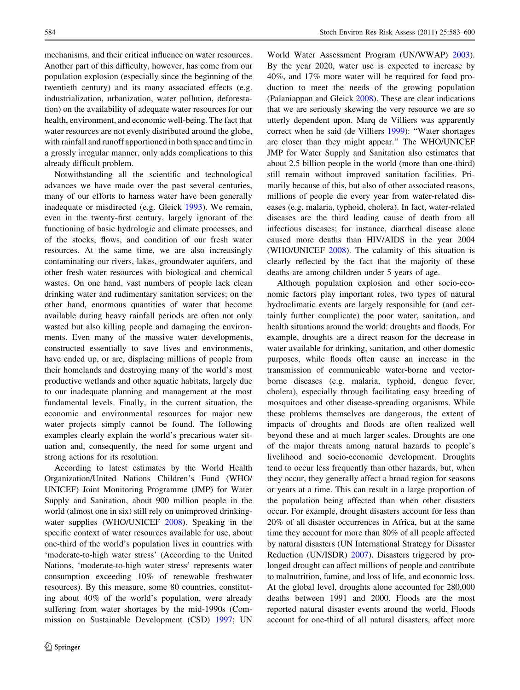mechanisms, and their critical influence on water resources. Another part of this difficulty, however, has come from our population explosion (especially since the beginning of the twentieth century) and its many associated effects (e.g. industrialization, urbanization, water pollution, deforestation) on the availability of adequate water resources for our health, environment, and economic well-being. The fact that water resources are not evenly distributed around the globe, with rainfall and runoff apportioned in both space and time in a grossly irregular manner, only adds complications to this already difficult problem.

Notwithstanding all the scientific and technological advances we have made over the past several centuries, many of our efforts to harness water have been generally inadequate or misdirected (e.g. Gleick [1993\)](#page-15-0). We remain, even in the twenty-first century, largely ignorant of the functioning of basic hydrologic and climate processes, and of the stocks, flows, and condition of our fresh water resources. At the same time, we are also increasingly contaminating our rivers, lakes, groundwater aquifers, and other fresh water resources with biological and chemical wastes. On one hand, vast numbers of people lack clean drinking water and rudimentary sanitation services; on the other hand, enormous quantities of water that become available during heavy rainfall periods are often not only wasted but also killing people and damaging the environments. Even many of the massive water developments, constructed essentially to save lives and environments, have ended up, or are, displacing millions of people from their homelands and destroying many of the world's most productive wetlands and other aquatic habitats, largely due to our inadequate planning and management at the most fundamental levels. Finally, in the current situation, the economic and environmental resources for major new water projects simply cannot be found. The following examples clearly explain the world's precarious water situation and, consequently, the need for some urgent and strong actions for its resolution.

According to latest estimates by the World Health Organization/United Nations Children's Fund (WHO/ UNICEF) Joint Monitoring Programme (JMP) for Water Supply and Sanitation, about 900 million people in the world (almost one in six) still rely on unimproved drinkingwater supplies (WHO/UNICEF [2008\)](#page-17-0). Speaking in the specific context of water resources available for use, about one-third of the world's population lives in countries with 'moderate-to-high water stress' (According to the United Nations, 'moderate-to-high water stress' represents water consumption exceeding 10% of renewable freshwater resources). By this measure, some 80 countries, constituting about 40% of the world's population, were already suffering from water shortages by the mid-1990s (Commission on Sustainable Development (CSD) [1997](#page-14-0); UN

World Water Assessment Program (UN/WWAP) [2003](#page-16-0)). By the year 2020, water use is expected to increase by 40%, and 17% more water will be required for food production to meet the needs of the growing population (Palaniappan and Gleick [2008\)](#page-16-0). These are clear indications that we are seriously skewing the very resource we are so utterly dependent upon. Marq de Villiers was apparently correct when he said (de Villiers [1999\)](#page-14-0): ''Water shortages are closer than they might appear.'' The WHO/UNICEF JMP for Water Supply and Sanitation also estimates that about 2.5 billion people in the world (more than one-third) still remain without improved sanitation facilities. Primarily because of this, but also of other associated reasons, millions of people die every year from water-related diseases (e.g. malaria, typhoid, cholera). In fact, water-related diseases are the third leading cause of death from all infectious diseases; for instance, diarrheal disease alone caused more deaths than HIV/AIDS in the year 2004 (WHO/UNICEF [2008\)](#page-17-0). The calamity of this situation is clearly reflected by the fact that the majority of these deaths are among children under 5 years of age.

Although population explosion and other socio-economic factors play important roles, two types of natural hydroclimatic events are largely responsible for (and certainly further complicate) the poor water, sanitation, and health situations around the world: droughts and floods. For example, droughts are a direct reason for the decrease in water available for drinking, sanitation, and other domestic purposes, while floods often cause an increase in the transmission of communicable water-borne and vectorborne diseases (e.g. malaria, typhoid, dengue fever, cholera), especially through facilitating easy breeding of mosquitoes and other disease-spreading organisms. While these problems themselves are dangerous, the extent of impacts of droughts and floods are often realized well beyond these and at much larger scales. Droughts are one of the major threats among natural hazards to people's livelihood and socio-economic development. Droughts tend to occur less frequently than other hazards, but, when they occur, they generally affect a broad region for seasons or years at a time. This can result in a large proportion of the population being affected than when other disasters occur. For example, drought disasters account for less than 20% of all disaster occurrences in Africa, but at the same time they account for more than 80% of all people affected by natural disasters (UN International Strategy for Disaster Reduction (UN/ISDR) [2007](#page-16-0)). Disasters triggered by prolonged drought can affect millions of people and contribute to malnutrition, famine, and loss of life, and economic loss. At the global level, droughts alone accounted for 280,000 deaths between 1991 and 2000. Floods are the most reported natural disaster events around the world. Floods account for one-third of all natural disasters, affect more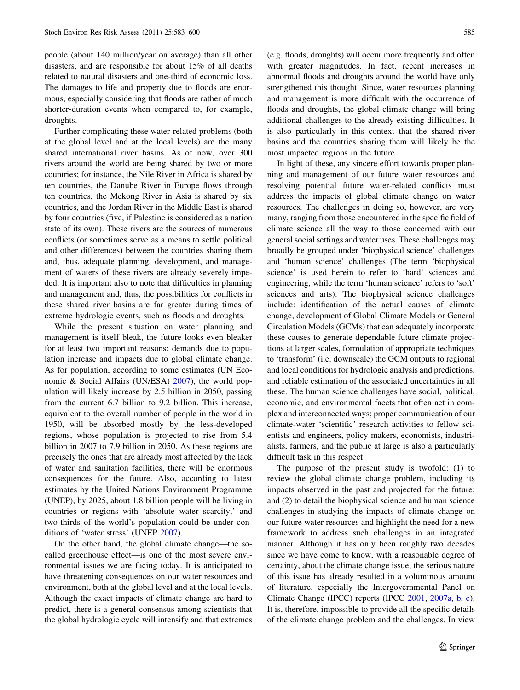people (about 140 million/year on average) than all other disasters, and are responsible for about 15% of all deaths related to natural disasters and one-third of economic loss. The damages to life and property due to floods are enormous, especially considering that floods are rather of much shorter-duration events when compared to, for example, droughts.

Further complicating these water-related problems (both at the global level and at the local levels) are the many shared international river basins. As of now, over 300 rivers around the world are being shared by two or more countries; for instance, the Nile River in Africa is shared by ten countries, the Danube River in Europe flows through ten countries, the Mekong River in Asia is shared by six countries, and the Jordan River in the Middle East is shared by four countries (five, if Palestine is considered as a nation state of its own). These rivers are the sources of numerous conflicts (or sometimes serve as a means to settle political and other differences) between the countries sharing them and, thus, adequate planning, development, and management of waters of these rivers are already severely impeded. It is important also to note that difficulties in planning and management and, thus, the possibilities for conflicts in these shared river basins are far greater during times of extreme hydrologic events, such as floods and droughts.

While the present situation on water planning and management is itself bleak, the future looks even bleaker for at least two important reasons: demands due to population increase and impacts due to global climate change. As for population, according to some estimates (UN Economic & Social Affairs (UN/ESA) [2007](#page-16-0)), the world population will likely increase by 2.5 billion in 2050, passing from the current 6.7 billion to 9.2 billion. This increase, equivalent to the overall number of people in the world in 1950, will be absorbed mostly by the less-developed regions, whose population is projected to rise from 5.4 billion in 2007 to 7.9 billion in 2050. As these regions are precisely the ones that are already most affected by the lack of water and sanitation facilities, there will be enormous consequences for the future. Also, according to latest estimates by the United Nations Environment Programme (UNEP), by 2025, about 1.8 billion people will be living in countries or regions with 'absolute water scarcity,' and two-thirds of the world's population could be under conditions of 'water stress' (UNEP [2007\)](#page-16-0).

On the other hand, the global climate change—the socalled greenhouse effect—is one of the most severe environmental issues we are facing today. It is anticipated to have threatening consequences on our water resources and environment, both at the global level and at the local levels. Although the exact impacts of climate change are hard to predict, there is a general consensus among scientists that the global hydrologic cycle will intensify and that extremes (e.g. floods, droughts) will occur more frequently and often with greater magnitudes. In fact, recent increases in abnormal floods and droughts around the world have only strengthened this thought. Since, water resources planning and management is more difficult with the occurrence of floods and droughts, the global climate change will bring additional challenges to the already existing difficulties. It is also particularly in this context that the shared river basins and the countries sharing them will likely be the most impacted regions in the future.

In light of these, any sincere effort towards proper planning and management of our future water resources and resolving potential future water-related conflicts must address the impacts of global climate change on water resources. The challenges in doing so, however, are very many, ranging from those encountered in the specific field of climate science all the way to those concerned with our general social settings and water uses. These challenges may broadly be grouped under 'biophysical science' challenges and 'human science' challenges (The term 'biophysical science' is used herein to refer to 'hard' sciences and engineering, while the term 'human science' refers to 'soft' sciences and arts). The biophysical science challenges include: identification of the actual causes of climate change, development of Global Climate Models or General Circulation Models (GCMs) that can adequately incorporate these causes to generate dependable future climate projections at larger scales, formulation of appropriate techniques to 'transform' (i.e. downscale) the GCM outputs to regional and local conditions for hydrologic analysis and predictions, and reliable estimation of the associated uncertainties in all these. The human science challenges have social, political, economic, and environmental facets that often act in complex and interconnected ways; proper communication of our climate-water 'scientific' research activities to fellow scientists and engineers, policy makers, economists, industrialists, farmers, and the public at large is also a particularly difficult task in this respect.

The purpose of the present study is twofold: (1) to review the global climate change problem, including its impacts observed in the past and projected for the future; and (2) to detail the biophysical science and human science challenges in studying the impacts of climate change on our future water resources and highlight the need for a new framework to address such challenges in an integrated manner. Although it has only been roughly two decades since we have come to know, with a reasonable degree of certainty, about the climate change issue, the serious nature of this issue has already resulted in a voluminous amount of literature, especially the Intergovernmental Panel on Climate Change (IPCC) reports (IPCC [2001](#page-15-0), [2007a](#page-15-0), [b](#page-15-0), [c](#page-15-0)). It is, therefore, impossible to provide all the specific details of the climate change problem and the challenges. In view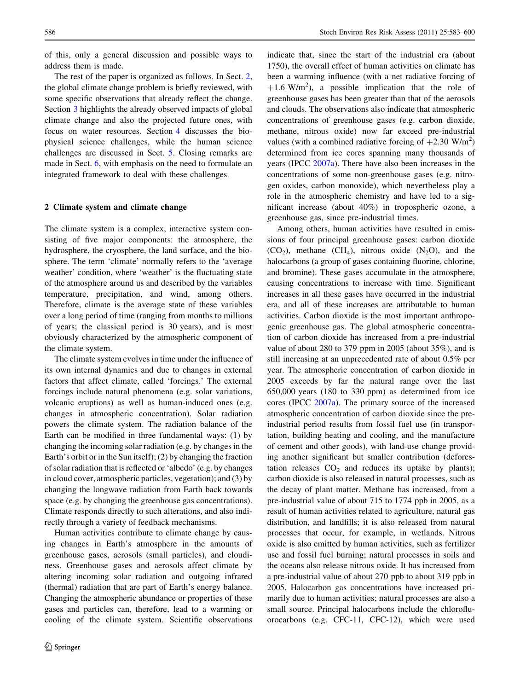of this, only a general discussion and possible ways to address them is made.

The rest of the paper is organized as follows. In Sect. 2, the global climate change problem is briefly reviewed, with some specific observations that already reflect the change. Section [3](#page-4-0) highlights the already observed impacts of global climate change and also the projected future ones, with focus on water resources. Section [4](#page-7-0) discusses the biophysical science challenges, while the human science challenges are discussed in Sect. [5](#page-10-0). Closing remarks are made in Sect. [6](#page-13-0), with emphasis on the need to formulate an integrated framework to deal with these challenges.

#### 2 Climate system and climate change

The climate system is a complex, interactive system consisting of five major components: the atmosphere, the hydrosphere, the cryosphere, the land surface, and the biosphere. The term 'climate' normally refers to the 'average weather' condition, where 'weather' is the fluctuating state of the atmosphere around us and described by the variables temperature, precipitation, and wind, among others. Therefore, climate is the average state of these variables over a long period of time (ranging from months to millions of years; the classical period is 30 years), and is most obviously characterized by the atmospheric component of the climate system.

The climate system evolves in time under the influence of its own internal dynamics and due to changes in external factors that affect climate, called 'forcings.' The external forcings include natural phenomena (e.g. solar variations, volcanic eruptions) as well as human-induced ones (e.g. changes in atmospheric concentration). Solar radiation powers the climate system. The radiation balance of the Earth can be modified in three fundamental ways: (1) by changing the incoming solar radiation (e.g. by changes in the Earth's orbit or in the Sun itself); (2) by changing the fraction of solar radiation that is reflected or 'albedo' (e.g. by changes in cloud cover, atmospheric particles, vegetation); and (3) by changing the longwave radiation from Earth back towards space (e.g. by changing the greenhouse gas concentrations). Climate responds directly to such alterations, and also indirectly through a variety of feedback mechanisms.

Human activities contribute to climate change by causing changes in Earth's atmosphere in the amounts of greenhouse gases, aerosols (small particles), and cloudiness. Greenhouse gases and aerosols affect climate by altering incoming solar radiation and outgoing infrared (thermal) radiation that are part of Earth's energy balance. Changing the atmospheric abundance or properties of these gases and particles can, therefore, lead to a warming or cooling of the climate system. Scientific observations indicate that, since the start of the industrial era (about 1750), the overall effect of human activities on climate has been a warming influence (with a net radiative forcing of  $+1.6$  W/m<sup>2</sup>), a possible implication that the role of greenhouse gases has been greater than that of the aerosols and clouds. The observations also indicate that atmospheric concentrations of greenhouse gases (e.g. carbon dioxide, methane, nitrous oxide) now far exceed pre-industrial values (with a combined radiative forcing of  $+2.30$  W/m<sup>2</sup>) determined from ice cores spanning many thousands of years (IPCC [2007a](#page-15-0)). There have also been increases in the concentrations of some non-greenhouse gases (e.g. nitrogen oxides, carbon monoxide), which nevertheless play a role in the atmospheric chemistry and have led to a significant increase (about 40%) in tropospheric ozone, a greenhouse gas, since pre-industrial times.

Among others, human activities have resulted in emissions of four principal greenhouse gases: carbon dioxide  $(CO<sub>2</sub>)$ , methane  $(CH<sub>4</sub>)$ , nitrous oxide  $(N<sub>2</sub>O)$ , and the halocarbons (a group of gases containing fluorine, chlorine, and bromine). These gases accumulate in the atmosphere, causing concentrations to increase with time. Significant increases in all these gases have occurred in the industrial era, and all of these increases are attributable to human activities. Carbon dioxide is the most important anthropogenic greenhouse gas. The global atmospheric concentration of carbon dioxide has increased from a pre-industrial value of about 280 to 379 ppm in 2005 (about 35%), and is still increasing at an unprecedented rate of about 0.5% per year. The atmospheric concentration of carbon dioxide in 2005 exceeds by far the natural range over the last 650,000 years (180 to 330 ppm) as determined from ice cores (IPCC [2007a](#page-15-0)). The primary source of the increased atmospheric concentration of carbon dioxide since the preindustrial period results from fossil fuel use (in transportation, building heating and cooling, and the manufacture of cement and other goods), with land-use change providing another significant but smaller contribution (deforestation releases  $CO<sub>2</sub>$  and reduces its uptake by plants); carbon dioxide is also released in natural processes, such as the decay of plant matter. Methane has increased, from a pre-industrial value of about 715 to 1774 ppb in 2005, as a result of human activities related to agriculture, natural gas distribution, and landfills; it is also released from natural processes that occur, for example, in wetlands. Nitrous oxide is also emitted by human activities, such as fertilizer use and fossil fuel burning; natural processes in soils and the oceans also release nitrous oxide. It has increased from a pre-industrial value of about 270 ppb to about 319 ppb in 2005. Halocarbon gas concentrations have increased primarily due to human activities; natural processes are also a small source. Principal halocarbons include the chlorofluorocarbons (e.g. CFC-11, CFC-12), which were used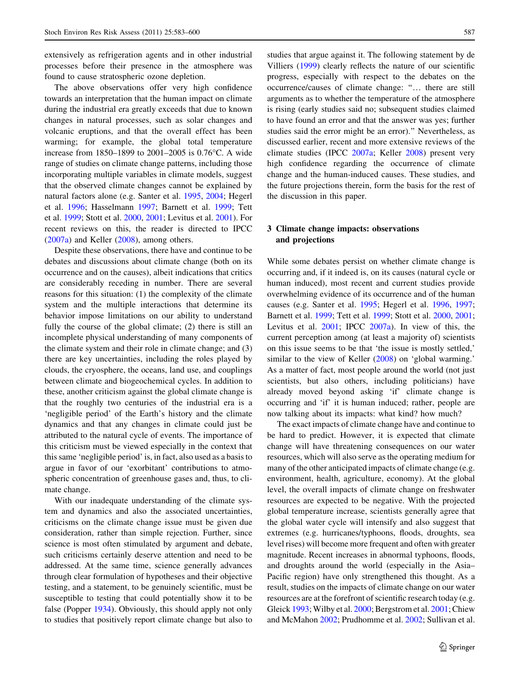<span id="page-4-0"></span>extensively as refrigeration agents and in other industrial processes before their presence in the atmosphere was found to cause stratospheric ozone depletion.

The above observations offer very high confidence towards an interpretation that the human impact on climate during the industrial era greatly exceeds that due to known changes in natural processes, such as solar changes and volcanic eruptions, and that the overall effect has been warming; for example, the global total temperature increase from 1850–1899 to 2001–2005 is 0.76°C. A wide range of studies on climate change patterns, including those incorporating multiple variables in climate models, suggest that the observed climate changes cannot be explained by natural factors alone (e.g. Santer et al. [1995](#page-16-0), [2004;](#page-16-0) Hegerl et al. [1996](#page-15-0); Hasselmann [1997;](#page-15-0) Barnett et al. [1999;](#page-14-0) Tett et al. [1999](#page-16-0); Stott et al. [2000,](#page-16-0) [2001;](#page-16-0) Levitus et al. [2001\)](#page-15-0). For recent reviews on this, the reader is directed to IPCC [\(2007a\)](#page-15-0) and Keller ([2008\)](#page-15-0), among others.

Despite these observations, there have and continue to be debates and discussions about climate change (both on its occurrence and on the causes), albeit indications that critics are considerably receding in number. There are several reasons for this situation: (1) the complexity of the climate system and the multiple interactions that determine its behavior impose limitations on our ability to understand fully the course of the global climate; (2) there is still an incomplete physical understanding of many components of the climate system and their role in climate change; and (3) there are key uncertainties, including the roles played by clouds, the cryosphere, the oceans, land use, and couplings between climate and biogeochemical cycles. In addition to these, another criticism against the global climate change is that the roughly two centuries of the industrial era is a 'negligible period' of the Earth's history and the climate dynamics and that any changes in climate could just be attributed to the natural cycle of events. The importance of this criticism must be viewed especially in the context that this same 'negligible period' is, in fact, also used as a basis to argue in favor of our 'exorbitant' contributions to atmospheric concentration of greenhouse gases and, thus, to climate change.

With our inadequate understanding of the climate system and dynamics and also the associated uncertainties, criticisms on the climate change issue must be given due consideration, rather than simple rejection. Further, since science is most often stimulated by argument and debate, such criticisms certainly deserve attention and need to be addressed. At the same time, science generally advances through clear formulation of hypotheses and their objective testing, and a statement, to be genuinely scientific, must be susceptible to testing that could potentially show it to be false (Popper [1934](#page-16-0)). Obviously, this should apply not only to studies that positively report climate change but also to studies that argue against it. The following statement by de Villiers [\(1999](#page-14-0)) clearly reflects the nature of our scientific progress, especially with respect to the debates on the occurrence/causes of climate change: ''… there are still arguments as to whether the temperature of the atmosphere is rising (early studies said no; subsequent studies claimed to have found an error and that the answer was yes; further studies said the error might be an error).'' Nevertheless, as discussed earlier, recent and more extensive reviews of the climate studies (IPCC [2007a;](#page-15-0) Keller [2008\)](#page-15-0) present very high confidence regarding the occurrence of climate change and the human-induced causes. These studies, and the future projections therein, form the basis for the rest of the discussion in this paper.

# 3 Climate change impacts: observations and projections

While some debates persist on whether climate change is occurring and, if it indeed is, on its causes (natural cycle or human induced), most recent and current studies provide overwhelming evidence of its occurrence and of the human causes (e.g. Santer et al. [1995](#page-16-0); Hegerl et al. [1996](#page-15-0), [1997](#page-15-0); Barnett et al. [1999;](#page-14-0) Tett et al. [1999](#page-16-0); Stott et al. [2000](#page-16-0), [2001](#page-16-0); Levitus et al. [2001](#page-15-0); IPCC [2007a\)](#page-15-0). In view of this, the current perception among (at least a majority of) scientists on this issue seems to be that 'the issue is mostly settled,' similar to the view of Keller ([2008\)](#page-15-0) on 'global warming.' As a matter of fact, most people around the world (not just scientists, but also others, including politicians) have already moved beyond asking 'if' climate change is occurring and 'if' it is human induced; rather, people are now talking about its impacts: what kind? how much?

The exact impacts of climate change have and continue to be hard to predict. However, it is expected that climate change will have threatening consequences on our water resources, which will also serve as the operating medium for many of the other anticipated impacts of climate change (e.g. environment, health, agriculture, economy). At the global level, the overall impacts of climate change on freshwater resources are expected to be negative. With the projected global temperature increase, scientists generally agree that the global water cycle will intensify and also suggest that extremes (e.g. hurricanes/typhoons, floods, droughts, sea level rises) will become more frequent and often with greater magnitude. Recent increases in abnormal typhoons, floods, and droughts around the world (especially in the Asia– Pacific region) have only strengthened this thought. As a result, studies on the impacts of climate change on our water resources are at the forefront of scientific research today (e.g. Gleick [1993](#page-15-0); Wilby et al. [2000;](#page-17-0) Bergstrom et al. [2001;](#page-14-0) Chiew and McMahon [2002;](#page-14-0) Prudhomme et al. [2002](#page-16-0); Sullivan et al.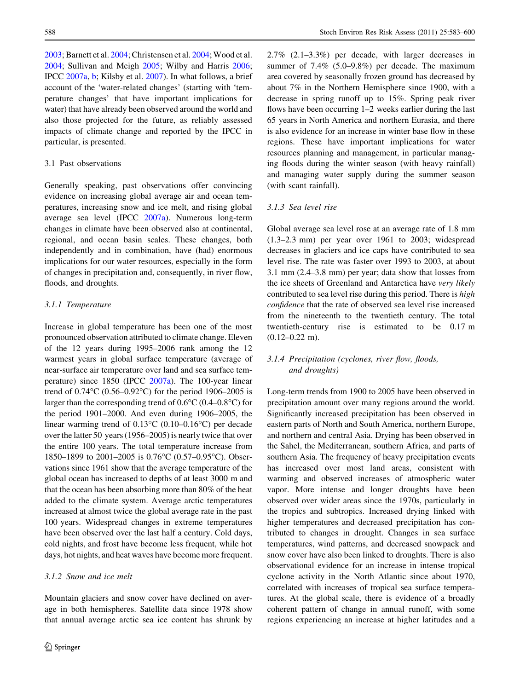[2003;](#page-16-0) Barnett et al. [2004;](#page-14-0) Christensen et al. [2004](#page-14-0); Wood et al. [2004;](#page-17-0) Sullivan and Meigh [2005](#page-16-0); Wilby and Harris [2006](#page-16-0); IPCC [2007a](#page-15-0), [b](#page-15-0); Kilsby et al. [2007\)](#page-15-0). In what follows, a brief account of the 'water-related changes' (starting with 'temperature changes' that have important implications for water) that have already been observed around the world and also those projected for the future, as reliably assessed impacts of climate change and reported by the IPCC in particular, is presented.

### 3.1 Past observations

Generally speaking, past observations offer convincing evidence on increasing global average air and ocean temperatures, increasing snow and ice melt, and rising global average sea level (IPCC [2007a\)](#page-15-0). Numerous long-term changes in climate have been observed also at continental, regional, and ocean basin scales. These changes, both independently and in combination, have (had) enormous implications for our water resources, especially in the form of changes in precipitation and, consequently, in river flow, floods, and droughts.

### 3.1.1 Temperature

Increase in global temperature has been one of the most pronounced observation attributed to climate change. Eleven of the 12 years during 1995–2006 rank among the 12 warmest years in global surface temperature (average of near-surface air temperature over land and sea surface temperature) since 1850 (IPCC [2007a\)](#page-15-0). The 100-year linear trend of  $0.74^{\circ}$ C (0.56–0.92°C) for the period 1906–2005 is larger than the corresponding trend of  $0.6^{\circ}C$  (0.4–0.8°C) for the period 1901–2000. And even during 1906–2005, the linear warming trend of  $0.13^{\circ}$ C (0.10–0.16<sup>o</sup>C) per decade over the latter 50 years (1956–2005) is nearly twice that over the entire 100 years. The total temperature increase from 1850–1899 to 2001–2005 is 0.76°C (0.57–0.95°C). Observations since 1961 show that the average temperature of the global ocean has increased to depths of at least 3000 m and that the ocean has been absorbing more than 80% of the heat added to the climate system. Average arctic temperatures increased at almost twice the global average rate in the past 100 years. Widespread changes in extreme temperatures have been observed over the last half a century. Cold days, cold nights, and frost have become less frequent, while hot days, hot nights, and heat waves have become more frequent.

### 3.1.2 Snow and ice melt

Mountain glaciers and snow cover have declined on average in both hemispheres. Satellite data since 1978 show that annual average arctic sea ice content has shrunk by 2.7% (2.1–3.3%) per decade, with larger decreases in summer of 7.4% (5.0–9.8%) per decade. The maximum area covered by seasonally frozen ground has decreased by about 7% in the Northern Hemisphere since 1900, with a decrease in spring runoff up to 15%. Spring peak river flows have been occurring 1–2 weeks earlier during the last 65 years in North America and northern Eurasia, and there is also evidence for an increase in winter base flow in these regions. These have important implications for water resources planning and management, in particular managing floods during the winter season (with heavy rainfall) and managing water supply during the summer season (with scant rainfall).

### 3.1.3 Sea level rise

Global average sea level rose at an average rate of 1.8 mm (1.3–2.3 mm) per year over 1961 to 2003; widespread decreases in glaciers and ice caps have contributed to sea level rise. The rate was faster over 1993 to 2003, at about 3.1 mm (2.4–3.8 mm) per year; data show that losses from the ice sheets of Greenland and Antarctica have very likely contributed to sea level rise during this period. There is high confidence that the rate of observed sea level rise increased from the nineteenth to the twentieth century. The total twentieth-century rise is estimated to be 0.17 m  $(0.12 - 0.22$  m).

# 3.1.4 Precipitation (cyclones, river flow, floods, and droughts)

Long-term trends from 1900 to 2005 have been observed in precipitation amount over many regions around the world. Significantly increased precipitation has been observed in eastern parts of North and South America, northern Europe, and northern and central Asia. Drying has been observed in the Sahel, the Mediterranean, southern Africa, and parts of southern Asia. The frequency of heavy precipitation events has increased over most land areas, consistent with warming and observed increases of atmospheric water vapor. More intense and longer droughts have been observed over wider areas since the 1970s, particularly in the tropics and subtropics. Increased drying linked with higher temperatures and decreased precipitation has contributed to changes in drought. Changes in sea surface temperatures, wind patterns, and decreased snowpack and snow cover have also been linked to droughts. There is also observational evidence for an increase in intense tropical cyclone activity in the North Atlantic since about 1970, correlated with increases of tropical sea surface temperatures. At the global scale, there is evidence of a broadly coherent pattern of change in annual runoff, with some regions experiencing an increase at higher latitudes and a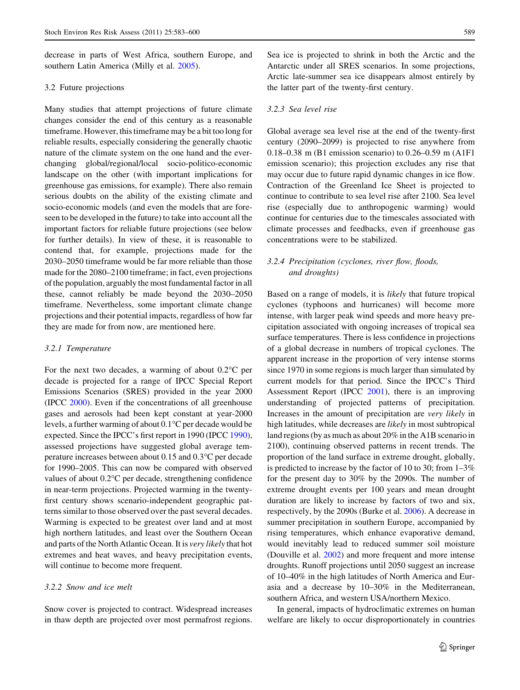decrease in parts of West Africa, southern Europe, and southern Latin America (Milly et al. [2005\)](#page-16-0).

#### 3.2 Future projections

Many studies that attempt projections of future climate changes consider the end of this century as a reasonable timeframe. However, this timeframe may be a bit too long for reliable results, especially considering the generally chaotic nature of the climate system on the one hand and the everchanging global/regional/local socio-politico-economic landscape on the other (with important implications for greenhouse gas emissions, for example). There also remain serious doubts on the ability of the existing climate and socio-economic models (and even the models that are foreseen to be developed in the future) to take into account all the important factors for reliable future projections (see below for further details). In view of these, it is reasonable to contend that, for example, projections made for the 2030–2050 timeframe would be far more reliable than those made for the 2080–2100 timeframe; in fact, even projections of the population, arguably the most fundamental factor in all these, cannot reliably be made beyond the 2030–2050 timeframe. Nevertheless, some important climate change projections and their potential impacts, regardless of how far they are made for from now, are mentioned here.

#### 3.2.1 Temperature

For the next two decades, a warming of about  $0.2^{\circ}$ C per decade is projected for a range of IPCC Special Report Emissions Scenarios (SRES) provided in the year 2000 (IPCC [2000\)](#page-15-0). Even if the concentrations of all greenhouse gases and aerosols had been kept constant at year-2000 levels, a further warming of about  $0.1^{\circ}$ C per decade would be expected. Since the IPCC's first report in 1990 (IPCC [1990](#page-15-0)), assessed projections have suggested global average temperature increases between about  $0.15$  and  $0.3^{\circ}$ C per decade for 1990–2005. This can now be compared with observed values of about  $0.2^{\circ}$ C per decade, strengthening confidence in near-term projections. Projected warming in the twentyfirst century shows scenario-independent geographic patterns similar to those observed over the past several decades. Warming is expected to be greatest over land and at most high northern latitudes, and least over the Southern Ocean and parts of the North Atlantic Ocean. It is very likely that hot extremes and heat waves, and heavy precipitation events, will continue to become more frequent.

## 3.2.2 Snow and ice melt

Snow cover is projected to contract. Widespread increases in thaw depth are projected over most permafrost regions. Sea ice is projected to shrink in both the Arctic and the Antarctic under all SRES scenarios. In some projections, Arctic late-summer sea ice disappears almost entirely by the latter part of the twenty-first century.

### 3.2.3 Sea level rise

Global average sea level rise at the end of the twenty-first century (2090–2099) is projected to rise anywhere from 0.18–0.38 m (B1 emission scenario) to 0.26–0.59 m (A1F1 emission scenario); this projection excludes any rise that may occur due to future rapid dynamic changes in ice flow. Contraction of the Greenland Ice Sheet is projected to continue to contribute to sea level rise after 2100. Sea level rise (especially due to anthropogenic warming) would continue for centuries due to the timescales associated with climate processes and feedbacks, even if greenhouse gas concentrations were to be stabilized.

# 3.2.4 Precipitation (cyclones, river flow, floods, and droughts)

Based on a range of models, it is likely that future tropical cyclones (typhoons and hurricanes) will become more intense, with larger peak wind speeds and more heavy precipitation associated with ongoing increases of tropical sea surface temperatures. There is less confidence in projections of a global decrease in numbers of tropical cyclones. The apparent increase in the proportion of very intense storms since 1970 in some regions is much larger than simulated by current models for that period. Since the IPCC's Third Assessment Report (IPCC [2001\)](#page-15-0), there is an improving understanding of projected patterns of precipitation. Increases in the amount of precipitation are very likely in high latitudes, while decreases are likely in most subtropical land regions (by as much as about 20% in the A1B scenario in 2100), continuing observed patterns in recent trends. The proportion of the land surface in extreme drought, globally, is predicted to increase by the factor of 10 to 30; from 1–3% for the present day to 30% by the 2090s. The number of extreme drought events per 100 years and mean drought duration are likely to increase by factors of two and six, respectively, by the 2090s (Burke et al. [2006\)](#page-14-0). A decrease in summer precipitation in southern Europe, accompanied by rising temperatures, which enhance evaporative demand, would inevitably lead to reduced summer soil moisture (Douville et al. [2002\)](#page-15-0) and more frequent and more intense droughts. Runoff projections until 2050 suggest an increase of 10–40% in the high latitudes of North America and Eurasia and a decrease by 10–30% in the Mediterranean, southern Africa, and western USA/northern Mexico.

In general, impacts of hydroclimatic extremes on human welfare are likely to occur disproportionately in countries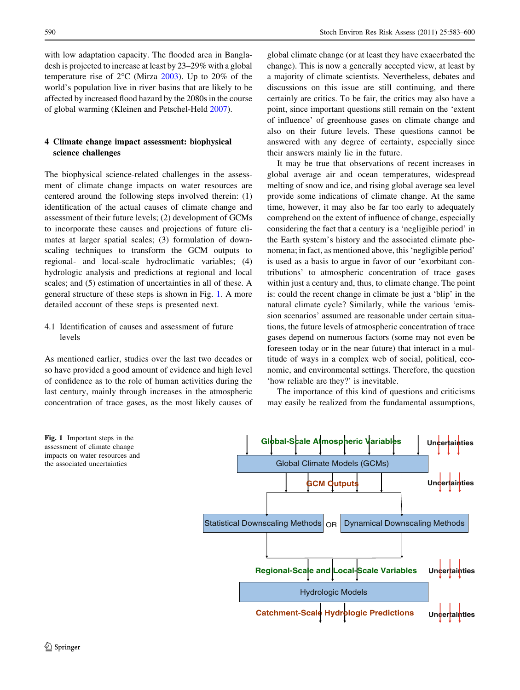<span id="page-7-0"></span>with low adaptation capacity. The flooded area in Bangladesh is projected to increase at least by 23–29% with a global temperature rise of  $2^{\circ}$ C (Mirza [2003](#page-16-0)). Up to 20% of the world's population live in river basins that are likely to be affected by increased flood hazard by the 2080s in the course of global warming (Kleinen and Petschel-Held [2007\)](#page-15-0).

# 4 Climate change impact assessment: biophysical science challenges

The biophysical science-related challenges in the assessment of climate change impacts on water resources are centered around the following steps involved therein: (1) identification of the actual causes of climate change and assessment of their future levels; (2) development of GCMs to incorporate these causes and projections of future climates at larger spatial scales; (3) formulation of downscaling techniques to transform the GCM outputs to regional- and local-scale hydroclimatic variables; (4) hydrologic analysis and predictions at regional and local scales; and (5) estimation of uncertainties in all of these. A general structure of these steps is shown in Fig. 1. A more detailed account of these steps is presented next.

4.1 Identification of causes and assessment of future levels

As mentioned earlier, studies over the last two decades or so have provided a good amount of evidence and high level of confidence as to the role of human activities during the last century, mainly through increases in the atmospheric concentration of trace gases, as the most likely causes of global climate change (or at least they have exacerbated the change). This is now a generally accepted view, at least by a majority of climate scientists. Nevertheless, debates and discussions on this issue are still continuing, and there certainly are critics. To be fair, the critics may also have a point, since important questions still remain on the 'extent of influence' of greenhouse gases on climate change and also on their future levels. These questions cannot be answered with any degree of certainty, especially since their answers mainly lie in the future.

It may be true that observations of recent increases in global average air and ocean temperatures, widespread melting of snow and ice, and rising global average sea level provide some indications of climate change. At the same time, however, it may also be far too early to adequately comprehend on the extent of influence of change, especially considering the fact that a century is a 'negligible period' in the Earth system's history and the associated climate phenomena; in fact, as mentioned above, this 'negligible period' is used as a basis to argue in favor of our 'exorbitant contributions' to atmospheric concentration of trace gases within just a century and, thus, to climate change. The point is: could the recent change in climate be just a 'blip' in the natural climate cycle? Similarly, while the various 'emission scenarios' assumed are reasonable under certain situations, the future levels of atmospheric concentration of trace gases depend on numerous factors (some may not even be foreseen today or in the near future) that interact in a multitude of ways in a complex web of social, political, economic, and environmental settings. Therefore, the question 'how reliable are they?' is inevitable.

The importance of this kind of questions and criticisms may easily be realized from the fundamental assumptions,

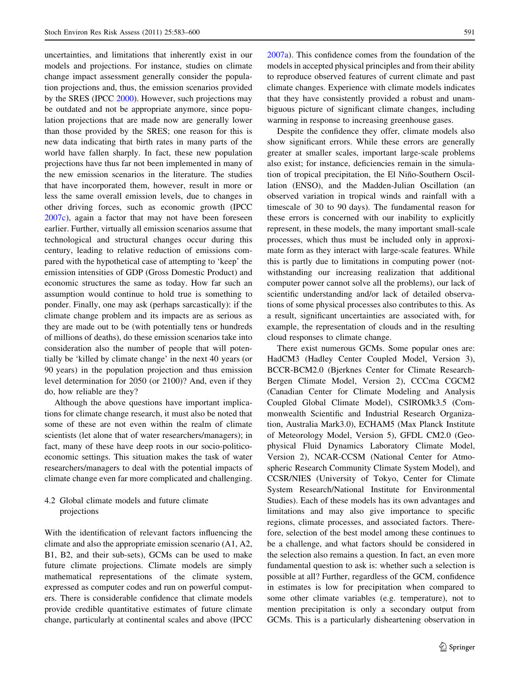uncertainties, and limitations that inherently exist in our models and projections. For instance, studies on climate change impact assessment generally consider the population projections and, thus, the emission scenarios provided by the SRES (IPCC [2000](#page-15-0)). However, such projections may be outdated and not be appropriate anymore, since population projections that are made now are generally lower than those provided by the SRES; one reason for this is new data indicating that birth rates in many parts of the world have fallen sharply. In fact, these new population projections have thus far not been implemented in many of the new emission scenarios in the literature. The studies that have incorporated them, however, result in more or less the same overall emission levels, due to changes in other driving forces, such as economic growth (IPCC [2007c](#page-15-0)), again a factor that may not have been foreseen earlier. Further, virtually all emission scenarios assume that technological and structural changes occur during this century, leading to relative reduction of emissions compared with the hypothetical case of attempting to 'keep' the emission intensities of GDP (Gross Domestic Product) and economic structures the same as today. How far such an assumption would continue to hold true is something to ponder. Finally, one may ask (perhaps sarcastically): if the climate change problem and its impacts are as serious as they are made out to be (with potentially tens or hundreds of millions of deaths), do these emission scenarios take into consideration also the number of people that will potentially be 'killed by climate change' in the next 40 years (or 90 years) in the population projection and thus emission level determination for 2050 (or 2100)? And, even if they do, how reliable are they?

Although the above questions have important implications for climate change research, it must also be noted that some of these are not even within the realm of climate scientists (let alone that of water researchers/managers); in fact, many of these have deep roots in our socio-politicoeconomic settings. This situation makes the task of water researchers/managers to deal with the potential impacts of climate change even far more complicated and challenging.

# 4.2 Global climate models and future climate projections

With the identification of relevant factors influencing the climate and also the appropriate emission scenario (A1, A2, B1, B2, and their sub-sets), GCMs can be used to make future climate projections. Climate models are simply mathematical representations of the climate system, expressed as computer codes and run on powerful computers. There is considerable confidence that climate models provide credible quantitative estimates of future climate change, particularly at continental scales and above (IPCC

[2007a\)](#page-15-0). This confidence comes from the foundation of the models in accepted physical principles and from their ability to reproduce observed features of current climate and past climate changes. Experience with climate models indicates that they have consistently provided a robust and unambiguous picture of significant climate changes, including warming in response to increasing greenhouse gases.

Despite the confidence they offer, climate models also show significant errors. While these errors are generally greater at smaller scales, important large-scale problems also exist; for instance, deficiencies remain in the simulation of tropical precipitation, the El Niño-Southern Oscillation (ENSO), and the Madden-Julian Oscillation (an observed variation in tropical winds and rainfall with a timescale of 30 to 90 days). The fundamental reason for these errors is concerned with our inability to explicitly represent, in these models, the many important small-scale processes, which thus must be included only in approximate form as they interact with large-scale features. While this is partly due to limitations in computing power (notwithstanding our increasing realization that additional computer power cannot solve all the problems), our lack of scientific understanding and/or lack of detailed observations of some physical processes also contributes to this. As a result, significant uncertainties are associated with, for example, the representation of clouds and in the resulting cloud responses to climate change.

There exist numerous GCMs. Some popular ones are: HadCM3 (Hadley Center Coupled Model, Version 3), BCCR-BCM2.0 (Bjerknes Center for Climate Research-Bergen Climate Model, Version 2), CCCma CGCM2 (Canadian Center for Climate Modeling and Analysis Coupled Global Climate Model), CSIROMk3.5 (Commonwealth Scientific and Industrial Research Organization, Australia Mark3.0), ECHAM5 (Max Planck Institute of Meteorology Model, Version 5), GFDL CM2.0 (Geophysical Fluid Dynamics Laboratory Climate Model, Version 2), NCAR-CCSM (National Center for Atmospheric Research Community Climate System Model), and CCSR/NIES (University of Tokyo, Center for Climate System Research/National Institute for Environmental Studies). Each of these models has its own advantages and limitations and may also give importance to specific regions, climate processes, and associated factors. Therefore, selection of the best model among these continues to be a challenge, and what factors should be considered in the selection also remains a question. In fact, an even more fundamental question to ask is: whether such a selection is possible at all? Further, regardless of the GCM, confidence in estimates is low for precipitation when compared to some other climate variables (e.g. temperature), not to mention precipitation is only a secondary output from GCMs. This is a particularly disheartening observation in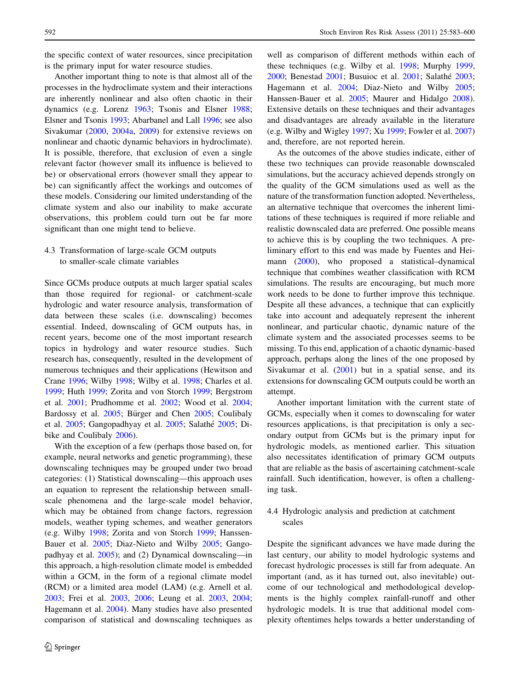the specific context of water resources, since precipitation is the primary input for water resource studies.

Another important thing to note is that almost all of the processes in the hydroclimate system and their interactions are inherently nonlinear and also often chaotic in their dynamics (e.g. Lorenz [1963](#page-15-0); Tsonis and Elsner [1988](#page-16-0); Elsner and Tsonis [1993;](#page-15-0) Abarbanel and Lall [1996;](#page-14-0) see also Sivakumar ([2000,](#page-16-0) [2004a,](#page-16-0) [2009](#page-16-0)) for extensive reviews on nonlinear and chaotic dynamic behaviors in hydroclimate). It is possible, therefore, that exclusion of even a single relevant factor (however small its influence is believed to be) or observational errors (however small they appear to be) can significantly affect the workings and outcomes of these models. Considering our limited understanding of the climate system and also our inability to make accurate observations, this problem could turn out be far more significant than one might tend to believe.

### 4.3 Transformation of large-scale GCM outputs to smaller-scale climate variables

Since GCMs produce outputs at much larger spatial scales than those required for regional- or catchment-scale hydrologic and water resource analysis, transformation of data between these scales (i.e. downscaling) becomes essential. Indeed, downscaling of GCM outputs has, in recent years, become one of the most important research topics in hydrology and water resource studies. Such research has, consequently, resulted in the development of numerous techniques and their applications (Hewitson and Crane [1996](#page-15-0); Wilby [1998](#page-16-0); Wilby et al. [1998](#page-16-0); Charles et al. [1999;](#page-14-0) Huth [1999;](#page-15-0) Zorita and von Storch [1999;](#page-17-0) Bergstrom et al. [2001](#page-14-0); Prudhomme et al. [2002;](#page-16-0) Wood et al. [2004](#page-17-0); Bardossy et al. [2005;](#page-14-0) Bürger and Chen [2005](#page-14-0); Coulibaly et al. [2005](#page-16-0); Gangopadhyay et al. [2005;](#page-15-0) Salathé 2005; Dibike and Coulibaly [2006](#page-14-0)).

With the exception of a few (perhaps those based on, for example, neural networks and genetic programming), these downscaling techniques may be grouped under two broad categories: (1) Statistical downscaling—this approach uses an equation to represent the relationship between smallscale phenomena and the large-scale model behavior, which may be obtained from change factors, regression models, weather typing schemes, and weather generators (e.g. Wilby [1998;](#page-16-0) Zorita and von Storch [1999](#page-17-0); Hanssen-Bauer et al. [2005](#page-15-0); Diaz-Nieto and Wilby [2005;](#page-14-0) Gangopadhyay et al. [2005\)](#page-15-0); and (2) Dynamical downscaling—in this approach, a high-resolution climate model is embedded within a GCM, in the form of a regional climate model (RCM) or a limited area model (LAM) (e.g. Arnell et al. [2003;](#page-14-0) Frei et al. [2003,](#page-15-0) [2006;](#page-15-0) Leung et al. [2003,](#page-15-0) [2004](#page-15-0); Hagemann et al. [2004\)](#page-15-0). Many studies have also presented comparison of statistical and downscaling techniques as

well as comparison of different methods within each of these techniques (e.g. Wilby et al. [1998;](#page-16-0) Murphy [1999,](#page-16-0) [2000](#page-16-0); Benestad [2001](#page-14-0); Busuioc et al. [2001](#page-14-0); Salathe´ [2003](#page-16-0); Hagemann et al. [2004](#page-15-0); Diaz-Nieto and Wilby [2005](#page-14-0); Hanssen-Bauer et al. [2005](#page-15-0); Maurer and Hidalgo [2008](#page-15-0)). Extensive details on these techniques and their advantages and disadvantages are already available in the literature (e.g. Wilby and Wigley [1997;](#page-16-0) Xu [1999;](#page-17-0) Fowler et al. [2007\)](#page-15-0) and, therefore, are not reported herein.

As the outcomes of the above studies indicate, either of these two techniques can provide reasonable downscaled simulations, but the accuracy achieved depends strongly on the quality of the GCM simulations used as well as the nature of the transformation function adopted. Nevertheless, an alternative technique that overcomes the inherent limitations of these techniques is required if more reliable and realistic downscaled data are preferred. One possible means to achieve this is by coupling the two techniques. A preliminary effort to this end was made by Fuentes and Heimann [\(2000](#page-15-0)), who proposed a statistical–dynamical technique that combines weather classification with RCM simulations. The results are encouraging, but much more work needs to be done to further improve this technique. Despite all these advances, a technique that can explicitly take into account and adequately represent the inherent nonlinear, and particular chaotic, dynamic nature of the climate system and the associated processes seems to be missing. To this end, application of a chaotic dynamic-based approach, perhaps along the lines of the one proposed by Sivakumar et al.  $(2001)$  $(2001)$  but in a spatial sense, and its extensions for downscaling GCM outputs could be worth an attempt.

Another important limitation with the current state of GCMs, especially when it comes to downscaling for water resources applications, is that precipitation is only a secondary output from GCMs but is the primary input for hydrologic models, as mentioned earlier. This situation also necessitates identification of primary GCM outputs that are reliable as the basis of ascertaining catchment-scale rainfall. Such identification, however, is often a challenging task.

## 4.4 Hydrologic analysis and prediction at catchment scales

Despite the significant advances we have made during the last century, our ability to model hydrologic systems and forecast hydrologic processes is still far from adequate. An important (and, as it has turned out, also inevitable) outcome of our technological and methodological developments is the highly complex rainfall-runoff and other hydrologic models. It is true that additional model complexity oftentimes helps towards a better understanding of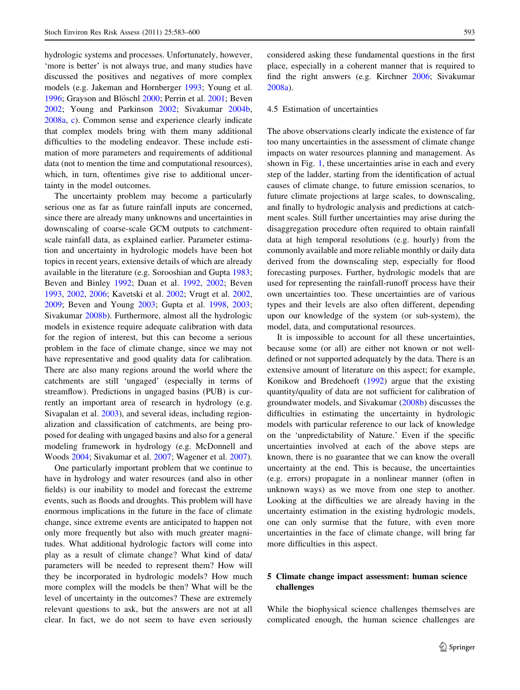<span id="page-10-0"></span>hydrologic systems and processes. Unfortunately, however, 'more is better' is not always true, and many studies have discussed the positives and negatives of more complex models (e.g. Jakeman and Hornberger [1993](#page-15-0); Young et al. [1996;](#page-17-0) Grayson and Blöschl [2000](#page-15-0); Perrin et al. [2001](#page-16-0); Beven [2002;](#page-14-0) Young and Parkinson [2002](#page-17-0); Sivakumar [2004b,](#page-16-0) [2008a](#page-16-0), [c](#page-16-0)). Common sense and experience clearly indicate that complex models bring with them many additional difficulties to the modeling endeavor. These include estimation of more parameters and requirements of additional data (not to mention the time and computational resources), which, in turn, oftentimes give rise to additional uncertainty in the model outcomes.

The uncertainty problem may become a particularly serious one as far as future rainfall inputs are concerned, since there are already many unknowns and uncertainties in downscaling of coarse-scale GCM outputs to catchmentscale rainfall data, as explained earlier. Parameter estimation and uncertainty in hydrologic models have been hot topics in recent years, extensive details of which are already available in the literature (e.g. Sorooshian and Gupta [1983](#page-16-0); Beven and Binley [1992;](#page-14-0) Duan et al. [1992,](#page-15-0) [2002](#page-15-0); Beven [1993,](#page-14-0) [2002,](#page-14-0) [2006](#page-14-0); Kavetski et al. [2002;](#page-15-0) Vrugt et al. [2002,](#page-16-0) [2009;](#page-16-0) Beven and Young [2003](#page-14-0); Gupta et al. [1998,](#page-15-0) [2003](#page-15-0); Sivakumar [2008b\)](#page-16-0). Furthermore, almost all the hydrologic models in existence require adequate calibration with data for the region of interest, but this can become a serious problem in the face of climate change, since we may not have representative and good quality data for calibration. There are also many regions around the world where the catchments are still 'ungaged' (especially in terms of streamflow). Predictions in ungaged basins (PUB) is currently an important area of research in hydrology (e.g. Sivapalan et al. [2003](#page-16-0)), and several ideas, including regionalization and classification of catchments, are being proposed for dealing with ungaged basins and also for a general modeling framework in hydrology (e.g. McDonnell and Woods [2004](#page-15-0); Sivakumar et al. [2007](#page-16-0); Wagener et al. [2007](#page-16-0)).

One particularly important problem that we continue to have in hydrology and water resources (and also in other fields) is our inability to model and forecast the extreme events, such as floods and droughts. This problem will have enormous implications in the future in the face of climate change, since extreme events are anticipated to happen not only more frequently but also with much greater magnitudes. What additional hydrologic factors will come into play as a result of climate change? What kind of data/ parameters will be needed to represent them? How will they be incorporated in hydrologic models? How much more complex will the models be then? What will be the level of uncertainty in the outcomes? These are extremely relevant questions to ask, but the answers are not at all clear. In fact, we do not seem to have even seriously considered asking these fundamental questions in the first place, especially in a coherent manner that is required to find the right answers (e.g. Kirchner [2006](#page-15-0); Sivakumar [2008a\)](#page-16-0).

### 4.5 Estimation of uncertainties

The above observations clearly indicate the existence of far too many uncertainties in the assessment of climate change impacts on water resources planning and management. As shown in Fig. [1](#page-7-0), these uncertainties arise in each and every step of the ladder, starting from the identification of actual causes of climate change, to future emission scenarios, to future climate projections at large scales, to downscaling, and finally to hydrologic analysis and predictions at catchment scales. Still further uncertainties may arise during the disaggregation procedure often required to obtain rainfall data at high temporal resolutions (e.g. hourly) from the commonly available and more reliable monthly or daily data derived from the downscaling step, especially for flood forecasting purposes. Further, hydrologic models that are used for representing the rainfall-runoff process have their own uncertainties too. These uncertainties are of various types and their levels are also often different, depending upon our knowledge of the system (or sub-system), the model, data, and computational resources.

It is impossible to account for all these uncertainties, because some (or all) are either not known or not welldefined or not supported adequately by the data. There is an extensive amount of literature on this aspect; for example, Konikow and Bredehoeft [\(1992](#page-15-0)) argue that the existing quantity/quality of data are not sufficient for calibration of groundwater models, and Sivakumar ([2008b\)](#page-16-0) discusses the difficulties in estimating the uncertainty in hydrologic models with particular reference to our lack of knowledge on the 'unpredictability of Nature.' Even if the specific uncertainties involved at each of the above steps are known, there is no guarantee that we can know the overall uncertainty at the end. This is because, the uncertainties (e.g. errors) propagate in a nonlinear manner (often in unknown ways) as we move from one step to another. Looking at the difficulties we are already having in the uncertainty estimation in the existing hydrologic models, one can only surmise that the future, with even more uncertainties in the face of climate change, will bring far more difficulties in this aspect.

## 5 Climate change impact assessment: human science challenges

While the biophysical science challenges themselves are complicated enough, the human science challenges are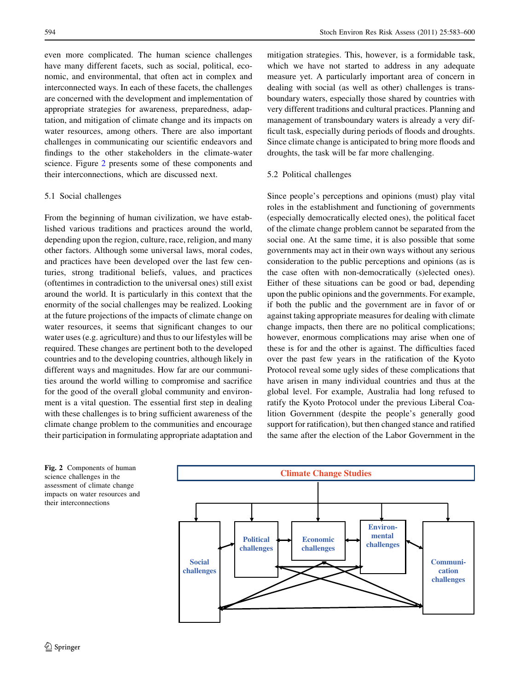even more complicated. The human science challenges have many different facets, such as social, political, economic, and environmental, that often act in complex and interconnected ways. In each of these facets, the challenges are concerned with the development and implementation of appropriate strategies for awareness, preparedness, adaptation, and mitigation of climate change and its impacts on water resources, among others. There are also important challenges in communicating our scientific endeavors and findings to the other stakeholders in the climate-water science. Figure 2 presents some of these components and their interconnections, which are discussed next.

### 5.1 Social challenges

From the beginning of human civilization, we have established various traditions and practices around the world, depending upon the region, culture, race, religion, and many other factors. Although some universal laws, moral codes, and practices have been developed over the last few centuries, strong traditional beliefs, values, and practices (oftentimes in contradiction to the universal ones) still exist around the world. It is particularly in this context that the enormity of the social challenges may be realized. Looking at the future projections of the impacts of climate change on water resources, it seems that significant changes to our water uses (e.g. agriculture) and thus to our lifestyles will be required. These changes are pertinent both to the developed countries and to the developing countries, although likely in different ways and magnitudes. How far are our communities around the world willing to compromise and sacrifice for the good of the overall global community and environment is a vital question. The essential first step in dealing with these challenges is to bring sufficient awareness of the climate change problem to the communities and encourage their participation in formulating appropriate adaptation and

mitigation strategies. This, however, is a formidable task, which we have not started to address in any adequate measure yet. A particularly important area of concern in dealing with social (as well as other) challenges is transboundary waters, especially those shared by countries with very different traditions and cultural practices. Planning and management of transboundary waters is already a very difficult task, especially during periods of floods and droughts. Since climate change is anticipated to bring more floods and droughts, the task will be far more challenging.

### 5.2 Political challenges

Since people's perceptions and opinions (must) play vital roles in the establishment and functioning of governments (especially democratically elected ones), the political facet of the climate change problem cannot be separated from the social one. At the same time, it is also possible that some governments may act in their own ways without any serious consideration to the public perceptions and opinions (as is the case often with non-democratically (s)elected ones). Either of these situations can be good or bad, depending upon the public opinions and the governments. For example, if both the public and the government are in favor of or against taking appropriate measures for dealing with climate change impacts, then there are no political complications; however, enormous complications may arise when one of these is for and the other is against. The difficulties faced over the past few years in the ratification of the Kyoto Protocol reveal some ugly sides of these complications that have arisen in many individual countries and thus at the global level. For example, Australia had long refused to ratify the Kyoto Protocol under the previous Liberal Coalition Government (despite the people's generally good support for ratification), but then changed stance and ratified the same after the election of the Labor Government in the



Fig. 2 Components of human science challenges in the assessment of climate change impacts on water resources and their interconnections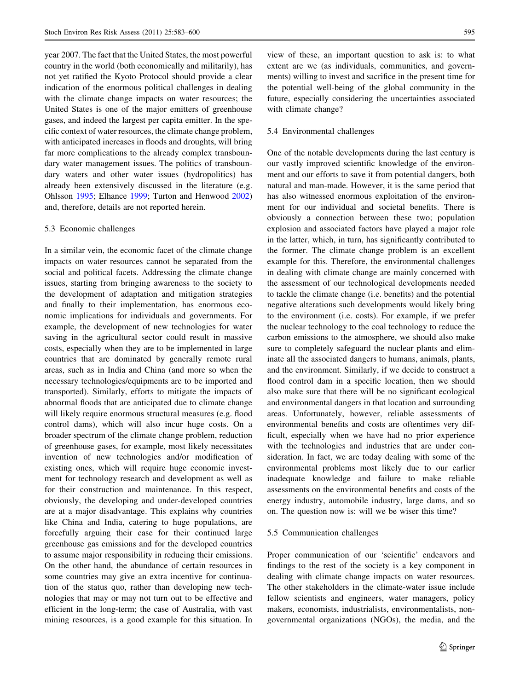year 2007. The fact that the United States, the most powerful country in the world (both economically and militarily), has not yet ratified the Kyoto Protocol should provide a clear indication of the enormous political challenges in dealing with the climate change impacts on water resources; the United States is one of the major emitters of greenhouse gases, and indeed the largest per capita emitter. In the specific context of water resources, the climate change problem, with anticipated increases in floods and droughts, will bring far more complications to the already complex transboundary water management issues. The politics of transboundary waters and other water issues (hydropolitics) has already been extensively discussed in the literature (e.g. Ohlsson [1995](#page-16-0); Elhance [1999;](#page-15-0) Turton and Henwood [2002\)](#page-16-0) and, therefore, details are not reported herein.

#### 5.3 Economic challenges

In a similar vein, the economic facet of the climate change impacts on water resources cannot be separated from the social and political facets. Addressing the climate change issues, starting from bringing awareness to the society to the development of adaptation and mitigation strategies and finally to their implementation, has enormous economic implications for individuals and governments. For example, the development of new technologies for water saving in the agricultural sector could result in massive costs, especially when they are to be implemented in large countries that are dominated by generally remote rural areas, such as in India and China (and more so when the necessary technologies/equipments are to be imported and transported). Similarly, efforts to mitigate the impacts of abnormal floods that are anticipated due to climate change will likely require enormous structural measures (e.g. flood control dams), which will also incur huge costs. On a broader spectrum of the climate change problem, reduction of greenhouse gases, for example, most likely necessitates invention of new technologies and/or modification of existing ones, which will require huge economic investment for technology research and development as well as for their construction and maintenance. In this respect, obviously, the developing and under-developed countries are at a major disadvantage. This explains why countries like China and India, catering to huge populations, are forcefully arguing their case for their continued large greenhouse gas emissions and for the developed countries to assume major responsibility in reducing their emissions. On the other hand, the abundance of certain resources in some countries may give an extra incentive for continuation of the status quo, rather than developing new technologies that may or may not turn out to be effective and efficient in the long-term; the case of Australia, with vast mining resources, is a good example for this situation. In

view of these, an important question to ask is: to what extent are we (as individuals, communities, and governments) willing to invest and sacrifice in the present time for the potential well-being of the global community in the future, especially considering the uncertainties associated with climate change?

#### 5.4 Environmental challenges

One of the notable developments during the last century is our vastly improved scientific knowledge of the environment and our efforts to save it from potential dangers, both natural and man-made. However, it is the same period that has also witnessed enormous exploitation of the environment for our individual and societal benefits. There is obviously a connection between these two; population explosion and associated factors have played a major role in the latter, which, in turn, has significantly contributed to the former. The climate change problem is an excellent example for this. Therefore, the environmental challenges in dealing with climate change are mainly concerned with the assessment of our technological developments needed to tackle the climate change (i.e. benefits) and the potential negative alterations such developments would likely bring to the environment (i.e. costs). For example, if we prefer the nuclear technology to the coal technology to reduce the carbon emissions to the atmosphere, we should also make sure to completely safeguard the nuclear plants and eliminate all the associated dangers to humans, animals, plants, and the environment. Similarly, if we decide to construct a flood control dam in a specific location, then we should also make sure that there will be no significant ecological and environmental dangers in that location and surrounding areas. Unfortunately, however, reliable assessments of environmental benefits and costs are oftentimes very difficult, especially when we have had no prior experience with the technologies and industries that are under consideration. In fact, we are today dealing with some of the environmental problems most likely due to our earlier inadequate knowledge and failure to make reliable assessments on the environmental benefits and costs of the energy industry, automobile industry, large dams, and so on. The question now is: will we be wiser this time?

### 5.5 Communication challenges

Proper communication of our 'scientific' endeavors and findings to the rest of the society is a key component in dealing with climate change impacts on water resources. The other stakeholders in the climate-water issue include fellow scientists and engineers, water managers, policy makers, economists, industrialists, environmentalists, nongovernmental organizations (NGOs), the media, and the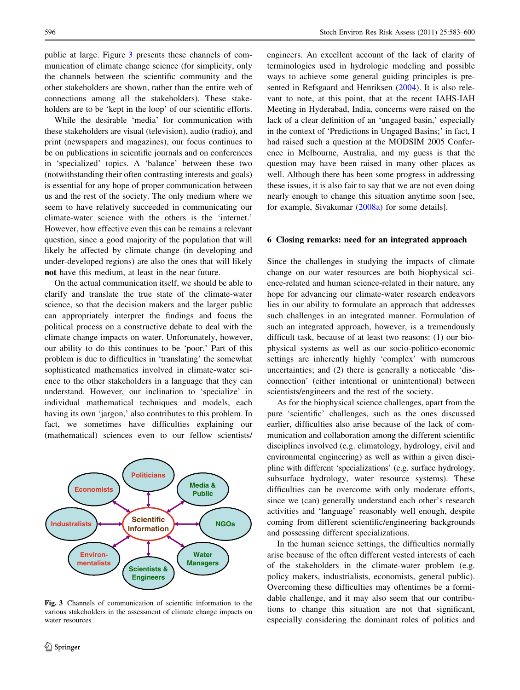<span id="page-13-0"></span>public at large. Figure 3 presents these channels of communication of climate change science (for simplicity, only the channels between the scientific community and the other stakeholders are shown, rather than the entire web of connections among all the stakeholders). These stakeholders are to be 'kept in the loop' of our scientific efforts.

While the desirable 'media' for communication with these stakeholders are visual (television), audio (radio), and print (newspapers and magazines), our focus continues to be on publications in scientific journals and on conferences in 'specialized' topics. A 'balance' between these two (notwithstanding their often contrasting interests and goals) is essential for any hope of proper communication between us and the rest of the society. The only medium where we seem to have relatively succeeded in communicating our climate-water science with the others is the 'internet.' However, how effective even this can be remains a relevant question, since a good majority of the population that will likely be affected by climate change (in developing and under-developed regions) are also the ones that will likely not have this medium, at least in the near future.

On the actual communication itself, we should be able to clarify and translate the true state of the climate-water science, so that the decision makers and the larger public can appropriately interpret the findings and focus the political process on a constructive debate to deal with the climate change impacts on water. Unfortunately, however, our ability to do this continues to be 'poor.' Part of this problem is due to difficulties in 'translating' the somewhat sophisticated mathematics involved in climate-water science to the other stakeholders in a language that they can understand. However, our inclination to 'specialize' in individual mathematical techniques and models, each having its own 'jargon,' also contributes to this problem. In fact, we sometimes have difficulties explaining our (mathematical) sciences even to our fellow scientists/



Fig. 3 Channels of communication of scientific information to the various stakeholders in the assessment of climate change impacts on water resources

engineers. An excellent account of the lack of clarity of terminologies used in hydrologic modeling and possible ways to achieve some general guiding principles is presented in Refsgaard and Henriksen ([2004\)](#page-16-0). It is also relevant to note, at this point, that at the recent IAHS-IAH Meeting in Hyderabad, India, concerns were raised on the lack of a clear definition of an 'ungaged basin,' especially in the context of 'Predictions in Ungaged Basins;' in fact, I had raised such a question at the MODSIM 2005 Conference in Melbourne, Australia, and my guess is that the question may have been raised in many other places as well. Although there has been some progress in addressing these issues, it is also fair to say that we are not even doing nearly enough to change this situation anytime soon [see, for example, Sivakumar ([2008a](#page-16-0)) for some details].

### 6 Closing remarks: need for an integrated approach

Since the challenges in studying the impacts of climate change on our water resources are both biophysical science-related and human science-related in their nature, any hope for advancing our climate-water research endeavors lies in our ability to formulate an approach that addresses such challenges in an integrated manner. Formulation of such an integrated approach, however, is a tremendously difficult task, because of at least two reasons: (1) our biophysical systems as well as our socio-politico-economic settings are inherently highly 'complex' with numerous uncertainties; and (2) there is generally a noticeable 'disconnection' (either intentional or unintentional) between scientists/engineers and the rest of the society.

As for the biophysical science challenges, apart from the pure 'scientific' challenges, such as the ones discussed earlier, difficulties also arise because of the lack of communication and collaboration among the different scientific disciplines involved (e.g. climatology, hydrology, civil and environmental engineering) as well as within a given discipline with different 'specializations' (e.g. surface hydrology, subsurface hydrology, water resource systems). These difficulties can be overcome with only moderate efforts, since we (can) generally understand each other's research activities and 'language' reasonably well enough, despite coming from different scientific/engineering backgrounds and possessing different specializations.

In the human science settings, the difficulties normally arise because of the often different vested interests of each of the stakeholders in the climate-water problem (e.g. policy makers, industrialists, economists, general public). Overcoming these difficulties may oftentimes be a formidable challenge, and it may also seem that our contributions to change this situation are not that significant, especially considering the dominant roles of politics and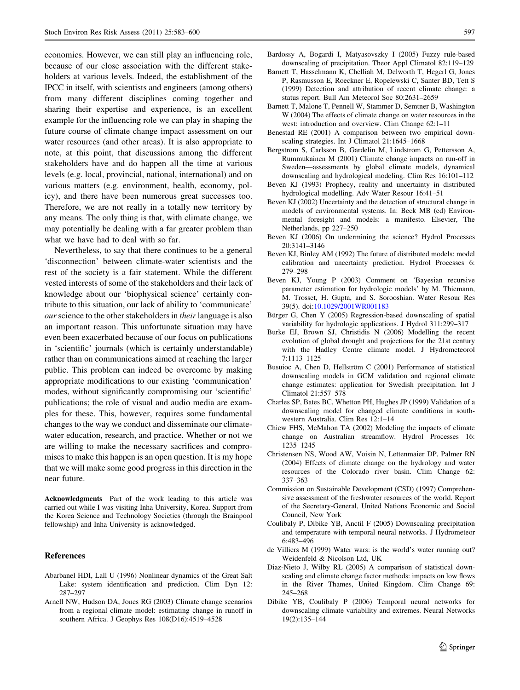<span id="page-14-0"></span>economics. However, we can still play an influencing role, because of our close association with the different stakeholders at various levels. Indeed, the establishment of the IPCC in itself, with scientists and engineers (among others) from many different disciplines coming together and sharing their expertise and experience, is an excellent example for the influencing role we can play in shaping the future course of climate change impact assessment on our water resources (and other areas). It is also appropriate to note, at this point, that discussions among the different stakeholders have and do happen all the time at various levels (e.g. local, provincial, national, international) and on various matters (e.g. environment, health, economy, policy), and there have been numerous great successes too. Therefore, we are not really in a totally new territory by any means. The only thing is that, with climate change, we may potentially be dealing with a far greater problem than what we have had to deal with so far.

Nevertheless, to say that there continues to be a general 'disconnection' between climate-water scientists and the rest of the society is a fair statement. While the different vested interests of some of the stakeholders and their lack of knowledge about our 'biophysical science' certainly contribute to this situation, our lack of ability to 'communicate' our science to the other stakeholders in *their* language is also an important reason. This unfortunate situation may have even been exacerbated because of our focus on publications in 'scientific' journals (which is certainly understandable) rather than on communications aimed at reaching the larger public. This problem can indeed be overcome by making appropriate modifications to our existing 'communication' modes, without significantly compromising our 'scientific' publications; the role of visual and audio media are examples for these. This, however, requires some fundamental changes to the way we conduct and disseminate our climatewater education, research, and practice. Whether or not we are willing to make the necessary sacrifices and compromises to make this happen is an open question. It is my hope that we will make some good progress in this direction in the near future.

Acknowledgments Part of the work leading to this article was carried out while I was visiting Inha University, Korea. Support from the Korea Science and Technology Societies (through the Brainpool fellowship) and Inha University is acknowledged.

#### References

- Abarbanel HDI, Lall U (1996) Nonlinear dynamics of the Great Salt Lake: system identification and prediction. Clim Dyn 12: 287–297
- Arnell NW, Hudson DA, Jones RG (2003) Climate change scenarios from a regional climate model: estimating change in runoff in southern Africa. J Geophys Res 108(D16):4519–4528
- Bardossy A, Bogardi I, Matyasovszky I (2005) Fuzzy rule-based downscaling of precipitation. Theor Appl Climatol 82:119–129
- Barnett T, Hasselmann K, Chelliah M, Delworth T, Hegerl G, Jones P, Rasmusson E, Roeckner E, Ropelewski C, Santer BD, Tett S (1999) Detection and attribution of recent climate change: a status report. Bull Am Meteorol Soc 80:2631–2659
- Barnett T, Malone T, Pennell W, Stammer D, Semtner B, Washington W (2004) The effects of climate change on water resources in the west: introduction and overview. Clim Change 62:1–11
- Benestad RE (2001) A comparison between two empirical downscaling strategies. Int J Climatol 21:1645–1668
- Bergstrom S, Carlsson B, Gardelin M, Lindstrom G, Pettersson A, Rummukainen M (2001) Climate change impacts on run-off in Sweden—assessments by global climate models, dynamical downscaling and hydrological modeling. Clim Res 16:101–112
- Beven KJ (1993) Prophecy, reality and uncertainty in distributed hydrological modelling. Adv Water Resour 16:41–51
- Beven KJ (2002) Uncertainty and the detection of structural change in models of environmental systems. In: Beck MB (ed) Environmental foresight and models: a manifesto. Elsevier, The Netherlands, pp 227–250
- Beven KJ (2006) On undermining the science? Hydrol Processes 20:3141–3146
- Beven KJ, Binley AM (1992) The future of distributed models: model calibration and uncertainty prediction. Hydrol Processes 6: 279–298
- Beven KJ, Young P (2003) Comment on 'Bayesian recursive parameter estimation for hydrologic models' by M. Thiemann, M. Trosset, H. Gupta, and S. Sorooshian. Water Resour Res 39(5). doi:[10.1029/2001WR001183](http://dx.doi.org/10.1029/2001WR001183)
- Bürger G, Chen Y (2005) Regression-based downscaling of spatial variability for hydrologic applications. J Hydrol 311:299–317
- Burke EJ, Brown SJ, Christidis N (2006) Modelling the recent evolution of global drought and projections for the 21st century with the Hadley Centre climate model. J Hydrometeorol 7:1113–1125
- Busuioc A, Chen D, Hellström C (2001) Performance of statistical downscaling models in GCM validation and regional climate change estimates: application for Swedish precipitation. Int J Climatol 21:557–578
- Charles SP, Bates BC, Whetton PH, Hughes JP (1999) Validation of a downscaling model for changed climate conditions in southwestern Australia. Clim Res 12:1–14
- Chiew FHS, McMahon TA (2002) Modeling the impacts of climate change on Australian streamflow. Hydrol Processes 16: 1235–1245
- Christensen NS, Wood AW, Voisin N, Lettenmaier DP, Palmer RN (2004) Effects of climate change on the hydrology and water resources of the Colorado river basin. Clim Change 62: 337–363
- Commission on Sustainable Development (CSD) (1997) Comprehensive assessment of the freshwater resources of the world. Report of the Secretary-General, United Nations Economic and Social Council, New York
- Coulibaly P, Dibike YB, Anctil F (2005) Downscaling precipitation and temperature with temporal neural networks. J Hydrometeor 6:483–496
- de Villiers M (1999) Water wars: is the world's water running out? Weidenfeld & Nicolson Ltd, UK
- Diaz-Nieto J, Wilby RL (2005) A comparison of statistical downscaling and climate change factor methods: impacts on low flows in the River Thames, United Kingdom. Clim Change 69: 245–268
- Dibike YB, Coulibaly P (2006) Temporal neural networks for downscaling climate variability and extremes. Neural Networks 19(2):135–144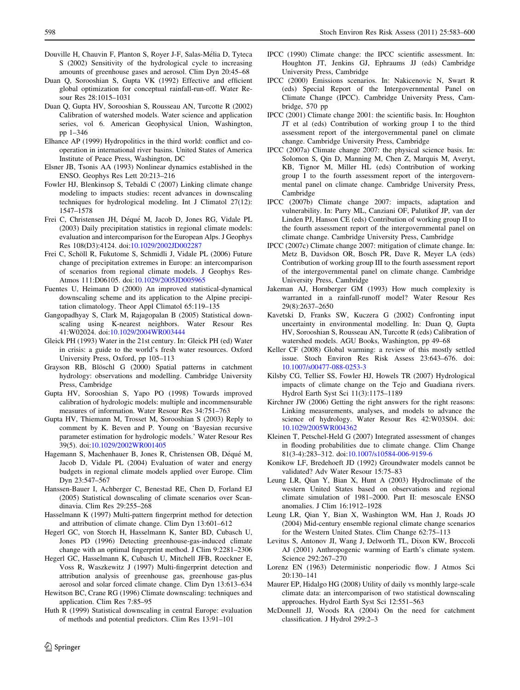- <span id="page-15-0"></span>Douville H, Chauvin F, Planton S, Royer J-F, Salas-Mélia D, Tyteca S (2002) Sensitivity of the hydrological cycle to increasing amounts of greenhouse gases and aerosol. Clim Dyn 20:45–68
- Duan Q, Sorooshian S, Gupta VK (1992) Effective and efficient global optimization for conceptual rainfall-run-off. Water Resour Res 28:1015–1031
- Duan Q, Gupta HV, Sorooshian S, Rousseau AN, Turcotte R (2002) Calibration of watershed models. Water science and application series, vol 6. American Geophysical Union, Washington, pp 1–346
- Elhance AP (1999) Hydropolitics in the third world: conflict and cooperation in international river basins. United States of America Institute of Peace Press, Washington, DC
- Elsner JB, Tsonis AA (1993) Nonlinear dynamics established in the ENSO. Geophys Res Lett 20:213–216
- Fowler HJ, Blenkinsop S, Tebaldi C (2007) Linking climate change modeling to impacts studies: recent advances in downscaling techniques for hydrological modeling. Int J Climatol 27(12): 1547–1578
- Frei C, Christensen JH, Déqué M, Jacob D, Jones RG, Vidale PL (2003) Daily precipitation statistics in regional climate models: evaluation and intercomparison for the European Alps. J Geophys Res 108(D3):4124. doi:[10.1029/2002JD002287](http://dx.doi.org/10.1029/2002JD002287)
- Frei C, Schöll R, Fukutome S, Schmidli J, Vidale PL (2006) Future change of precipitation extremes in Europe: an intercomparison of scenarios from regional climate models. J Geophys Res-Atmos 111:D06105. doi:[10.1029/2005JD005965](http://dx.doi.org/10.1029/2005JD005965)
- Fuentes U, Heimann D (2000) An improved statistical-dynamical downscaling scheme and its application to the Alpine precipitation climatology. Theor Appl Climatol 65:119–135
- Gangopadhyay S, Clark M, Rajagopalan B (2005) Statistical downscaling using K-nearest neighbors. Water Resour Res 41:W02024. doi[:10.1029/2004WR003444](http://dx.doi.org/10.1029/2004WR003444)
- Gleick PH (1993) Water in the 21st century. In: Gleick PH (ed) Water in crisis: a guide to the world's fresh water resources. Oxford University Press, Oxford, pp 105–113
- Grayson RB, Blöschl G (2000) Spatial patterns in catchment hydrology: observations and modelling. Cambridge University Press, Cambridge
- Gupta HV, Sorooshian S, Yapo PO (1998) Towards improved calibration of hydrologic models: multiple and incommensurable measures of information. Water Resour Res 34:751–763
- Gupta HV, Thiemann M, Trosset M, Sorooshian S (2003) Reply to comment by K. Beven and P. Young on 'Bayesian recursive parameter estimation for hydrologic models.' Water Resour Res 39(5). doi:[10.1029/2002WR001405](http://dx.doi.org/10.1029/2002WR001405)
- Hagemann S, Machenhauer B, Jones R, Christensen OB, Déqué M, Jacob D, Vidale PL (2004) Evaluation of water and energy budgets in regional climate models applied over Europe. Clim Dyn 23:547–567
- Hanssen-Bauer I, Achberger C, Benestad RE, Chen D, Forland EJ (2005) Statistical downscaling of climate scenarios over Scandinavia. Clim Res 29:255–268
- Hasselmann K (1997) Multi-pattern fingerprint method for detection and attribution of climate change. Clim Dyn 13:601–612
- Hegerl GC, von Storch H, Hasselmann K, Santer BD, Cubasch U, Jones PD (1996) Detecting greenhouse-gas-induced climate change with an optimal fingerprint method. J Clim 9:2281–2306
- Hegerl GC, Hasselmann K, Cubasch U, Mitchell JFB, Roeckner E, Voss R, Waszkewitz J (1997) Multi-fingerprint detection and attribution analysis of greenhouse gas, greenhouse gas-plus aerosol and solar forced climate change. Clim Dyn 13:613–634
- Hewitson BC, Crane RG (1996) Climate downscaling: techniques and application. Clim Res 7:85–95
- Huth R (1999) Statistical downscaling in central Europe: evaluation of methods and potential predictors. Clim Res 13:91–101
- $\textcircled{2}$  Springer
- IPCC (1990) Climate change: the IPCC scientific assessment. In: Houghton JT, Jenkins GJ, Ephraums JJ (eds) Cambridge University Press, Cambridge
- IPCC (2000) Emissions scenarios. In: Nakicenovic N, Swart R (eds) Special Report of the Intergovernmental Panel on Climate Change (IPCC). Cambridge University Press, Cambridge, 570 pp
- IPCC (2001) Climate change 2001: the scientific basis. In: Houghton JT et al (eds) Contribution of working group I to the third assessment report of the intergovernmental panel on climate change. Cambridge University Press, Cambridge
- IPCC (2007a) Climate change 2007: the physical science basis. In: Solomon S, Qin D, Manning M, Chen Z, Marquis M, Averyt, KB, Tignor M, Miller HL (eds) Contribution of working group I to the fourth assessment report of the intergovernmental panel on climate change. Cambridge University Press, Cambridge
- IPCC (2007b) Climate change 2007: impacts, adaptation and vulnerability. In: Parry ML, Canziani OF, Palutikof JP, van der Linden PJ, Hanson CE (eds) Contribution of working group II to the fourth assessment report of the intergovernmental panel on climate change. Cambridge University Press, Cambridge
- IPCC (2007c) Climate change 2007: mitigation of climate change. In: Metz B, Davidson OR, Bosch PR, Dave R, Meyer LA (eds) Contribution of working group III to the fourth assessment report of the intergovernmental panel on climate change. Cambridge University Press, Cambridge
- Jakeman AJ, Hornberger GM (1993) How much complexity is warranted in a rainfall-runoff model? Water Resour Res 29(8):2637–2650
- Kavetski D, Franks SW, Kuczera G (2002) Confronting input uncertainty in environmental modelling. In: Duan Q, Gupta HV, Sorooshian S, Rousseau AN, Turcotte R (eds) Calibration of watershed models. AGU Books, Washington, pp 49–68
- Keller CF (2008) Global warming: a review of this mostly settled issue. Stoch Environ Res Risk Assess 23:643–676. doi: [10.1007/s00477-088-0253-3](http://dx.doi.org/10.1007/s00477-088-0253-3)
- Kilsby CG, Tellier SS, Fowler HJ, Howels TR (2007) Hydrological impacts of climate change on the Tejo and Guadiana rivers. Hydrol Earth Syst Sci 11(3):1175–1189
- Kirchner JW (2006) Getting the right answers for the right reasons: Linking measurements, analyses, and models to advance the science of hydrology. Water Resour Res 42:W03S04. doi: [10.1029/2005WR004362](http://dx.doi.org/10.1029/2005WR004362)
- Kleinen T, Petschel-Held G (2007) Integrated assessment of changes in flooding probabilities due to climate change. Clim Change 81(3-4):283–312. doi:[10.1007/s10584-006-9159-6](http://dx.doi.org/10.1007/s10584-006-9159-6)
- Konikow LF, Bredehoeft JD (1992) Groundwater models cannot be validated? Adv Water Resour 15:75–83
- Leung LR, Qian Y, Bian X, Hunt A (2003) Hydroclimate of the western United States based on observations and regional climate simulation of 1981–2000. Part II: mesoscale ENSO anomalies. J Clim 16:1912–1928
- Leung LR, Qian Y, Bian X, Washington WM, Han J, Roads JO (2004) Mid-century ensemble regional climate change scenarios for the Western United States. Clim Change 62:75–113
- Levitus S, Antonov JI, Wang J, Delworth TL, Dixon KW, Broccoli AJ (2001) Anthropogenic warming of Earth's climate system. Science 292:267–270
- Lorenz EN (1963) Deterministic nonperiodic flow. J Atmos Sci 20:130–141
- Maurer EP, Hidalgo HG (2008) Utility of daily vs monthly large-scale climate data: an intercomparison of two statistical downscaling approaches. Hydrol Earth Syst Sci 12:551–563
- McDonnell JJ, Woods RA (2004) On the need for catchment classification. J Hydrol 299:2–3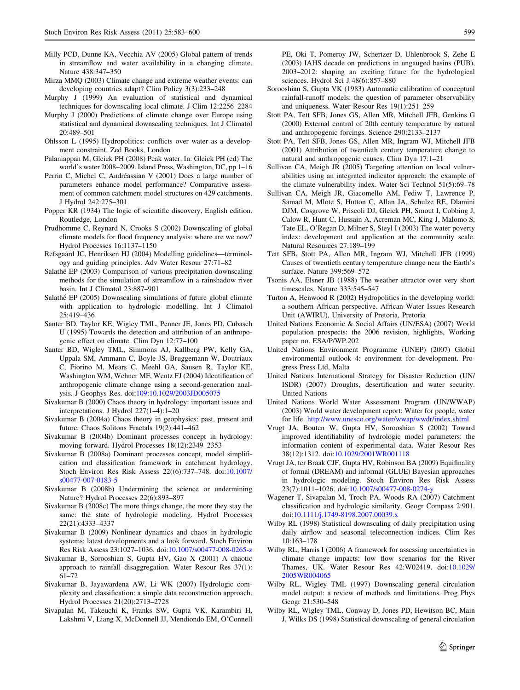- <span id="page-16-0"></span>Milly PCD, Dunne KA, Vecchia AV (2005) Global pattern of trends in streamflow and water availability in a changing climate. Nature 438:347–350
- Mirza MMQ (2003) Climate change and extreme weather events: can developing countries adapt? Clim Policy 3(3):233–248
- Murphy J (1999) An evaluation of statistical and dynamical techniques for downscaling local climate. J Clim 12:2256–2284
- Murphy J (2000) Predictions of climate change over Europe using statistical and dynamical downscaling techniques. Int J Climatol 20:489–501
- Ohlsson L (1995) Hydropolitics: conflicts over water as a development constraint. Zed Books, London
- Palaniappan M, Gleick PH (2008) Peak water. In: Gleick PH (ed) The world's water 2008–2009. Island Press, Washington, DC, pp 1–16
- Perrin C, Michel C, Andréassian V (2001) Does a large number of parameters enhance model performance? Comparative assessment of common catchment model structures on 429 catchments. J Hydrol 242:275–301
- Popper KR (1934) The logic of scientific discovery, English edition. Routledge, London
- Prudhomme C, Reynard N, Crooks S (2002) Downscaling of global climate models for flood frequency analysis: where are we now? Hydrol Processes 16:1137–1150
- Refsgaard JC, Henriksen HJ (2004) Modelling guidelines—terminology and guiding principles. Adv Water Resour 27:71–82
- Salathé EP (2003) Comparison of various precipitation downscaling methods for the simulation of streamflow in a rainshadow river basin. Int J Climatol 23:887–901
- Salathé EP (2005) Downscaling simulations of future global climate with application to hydrologic modelling. Int J Climatol 25:419–436
- Santer BD, Taylor KE, Wigley TML, Penner JE, Jones PD, Cubasch U (1995) Towards the detection and attribution of an anthropogenic effect on climate. Clim Dyn 12:77–100
- Santer BD, Wigley TML, Simmons AJ, Kallberg PW, Kelly GA, Uppala SM, Ammann C, Boyle JS, Bruggemann W, Doutriaux C, Fiorino M, Mears C, Meehl GA, Sausen R, Taylor KE, Washington WM, Wehner MF, Wentz FJ (2004) Identification of anthropogenic climate change using a second-generation analysis. J Geophys Res. doi:[109:10.1029/2003JD005075](http://dx.doi.org/109:10.1029/2003JD005075)
- Sivakumar B (2000) Chaos theory in hydrology: important issues and interpretations. J Hydrol 227(1–4):1–20
- Sivakumar B (2004a) Chaos theory in geophysics: past, present and future. Chaos Solitons Fractals 19(2):441–462
- Sivakumar B (2004b) Dominant processes concept in hydrology: moving forward. Hydrol Processes 18(12):2349–2353
- Sivakumar B (2008a) Dominant processes concept, model simplification and classification framework in catchment hydrology. Stoch Environ Res Risk Assess 22((6):737–748. doi[:10.1007/](http://dx.doi.org/10.1007/s00477-007-0183-5) [s00477-007-0183-5](http://dx.doi.org/10.1007/s00477-007-0183-5)
- Sivakumar B (2008b) Undermining the science or undermining Nature? Hydrol Processes 22(6):893–897
- Sivakumar B (2008c) The more things change, the more they stay the same: the state of hydrologic modeling. Hydrol Processes 22(21):4333–4337
- Sivakumar B (2009) Nonlinear dynamics and chaos in hydrologic systems: latest developments and a look forward. Stoch Environ Res Risk Assess 23:1027–1036. doi:[10.1007/s00477-008-0265-z](http://dx.doi.org/10.1007/s00477-008-0265-z)
- Sivakumar B, Sorooshian S, Gupta HV, Gao X (2001) A chaotic approach to rainfall disaggregation. Water Resour Res 37(1): 61–72
- Sivakumar B, Jayawardena AW, Li WK (2007) Hydrologic complexity and classification: a simple data reconstruction approach. Hydrol Processes 21(20):2713–2728
- Sivapalan M, Takeuchi K, Franks SW, Gupta VK, Karambiri H, Lakshmi V, Liang X, McDonnell JJ, Mendiondo EM, O'Connell

PE, Oki T, Pomeroy JW, Schertzer D, Uhlenbrook S, Zehe E (2003) IAHS decade on predictions in ungauged basins (PUB), 2003–2012: shaping an exciting future for the hydrological sciences. Hydrol Sci J 48(6):857–880

- Sorooshian S, Gupta VK (1983) Automatic calibration of conceptual rainfall-runoff models: the question of parameter observability and uniqueness. Water Resour Res 19(1):251–259
- Stott PA, Tett SFB, Jones GS, Allen MR, Mitchell JFB, Genkins G (2000) External control of 20th century temperature by natural and anthropogenic forcings. Science 290:2133–2137
- Stott PA, Tett SFB, Jones GS, Allen MR, Ingram WJ, Mitchell JFB (2001) Attribution of twentieth century temperature change to natural and anthropogenic causes. Clim Dyn 17:1–21
- Sullivan CA, Meigh JR (2005) Targeting attention on local vulnerabilities using an integrated indicator approach: the example of the climate vulnerability index. Water Sci Technol 51(5):69–78
- Sullivan CA, Meigh JR, Giacomello AM, Fediw T, Lawrence P, Samad M, Mlote S, Hutton C, Allan JA, Schulze RE, Dlamini DJM, Cosgrove W, Priscoli DJ, Gleick PH, Smout I, Cobbing J, Calow R, Hunt C, Hussain A, Acreman MC, King J, Malomo S, Tate EL, O'Regan D, Milner S, Steyl I (2003) The water poverty index: development and application at the community scale. Natural Resources 27:189–199
- Tett SFB, Stott PA, Allen MR, Ingram WJ, Mitchell JFB (1999) Causes of twentieth century temperature change near the Earth's surface. Nature 399:569–572
- Tsonis AA, Elsner JB (1988) The weather attractor over very short timescales. Nature 333:545–547
- Turton A, Henwood R (2002) Hydropolitics in the developing world: a southern African perspective. African Water Issues Research Unit (AWIRU), University of Pretoria, Pretoria
- United Nations Economic & Social Affairs (UN/ESA) (2007) World population prospects: the 2006 revision, highlights, Working paper no. ESA/P/WP.202
- United Nations Environment Programme (UNEP) (2007) Global environmental outlook 4: environment for development. Progress Press Ltd, Malta
- United Nations International Strategy for Disaster Reduction (UN/ ISDR) (2007) Droughts, desertification and water security. United Nations
- United Nations World Water Assessment Program (UN/WWAP) (2003) World water development report: Water for people, water for life. <http://www.unesco.org/water/wwap/wwdr/index.shtml>
- Vrugt JA, Bouten W, Gupta HV, Sorooshian S (2002) Toward improved identifiability of hydrologic model parameters: the information content of experimental data. Water Resour Res 38(12):1312. doi[:10.1029/2001WR001118](http://dx.doi.org/10.1029/2001WR001118)
- Vrugt JA, ter Braak CJF, Gupta HV, Robinson BA (2009) Equifinality of formal (DREAM) and informal (GLUE) Bayesian approaches in hydrologic modeling. Stoch Environ Res Risk Assess 23(7):1011–1026. doi[:10.1007/s00477-008-0274-y](http://dx.doi.org/10.1007/s00477-008-0274-y)
- Wagener T, Sivapalan M, Troch PA, Woods RA (2007) Catchment classification and hydrologic similarity. Geogr Compass 2:901. doi[:10.1111/j.1749-8198.2007.00039.x](http://dx.doi.org/10.1111/j.1749-8198.2007.00039.x)
- Wilby RL (1998) Statistical downscaling of daily precipitation using daily airflow and seasonal teleconnection indices. Clim Res 10:163–178
- Wilby RL, Harris I (2006) A framework for assessing uncertainties in climate change impacts: low flow scenarios for the River Thames, UK. Water Resour Res 42:W02419. doi[:10.1029/](http://dx.doi.org/10.1029/2005WR004065) [2005WR004065](http://dx.doi.org/10.1029/2005WR004065)
- Wilby RL, Wigley TML (1997) Downscaling general circulation model output: a review of methods and limitations. Prog Phys Geogr 21:530–548
- Wilby RL, Wigley TML, Conway D, Jones PD, Hewitson BC, Main J, Wilks DS (1998) Statistical downscaling of general circulation